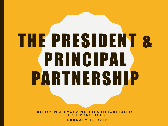## THE PRESIDENT & PRINCIPAL PARTNERSHIP

**A N O P E N & E V O LV I N G I D E N T I F I C AT I O N O F B E S T P R A C T I C E S F E B R U A RY 1 3 , 2 0 1 9**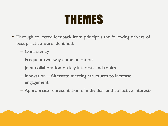## THEMES

- Through collected feedback from principals the following drivers of best practice were identified:
	- Consistency
	- Frequent two-way communication
	- Joint collaboration on key interests and topics
	- Innovation—Alternate meeting structures to increase engagement
	- Appropriate representation of individual and collective interests

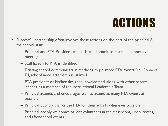## ACTIONS

- Successful partnership often involves these actions on the part of the principal & the school staff:
	- Principal and PTA President establish and commit to a standing monthly meeting
	- Staff liaison to PTA is identified
	- Existing school communication methods to promote PTA events (i.e. Connect Ed, school newsletter, etc.) is utilized
	- PTA president or his/her designee is welcomed, along with other parent leaders, as a member of the Instructional Leadership Team
	- Principal attends and encourages staff to attend as many PTA events as possible
	- Principal publicly thanks the PTA for their efforts whenever possible.
	- Principal openly welcomes parent volunteers in the classroom, lunch, recess, and after-school events